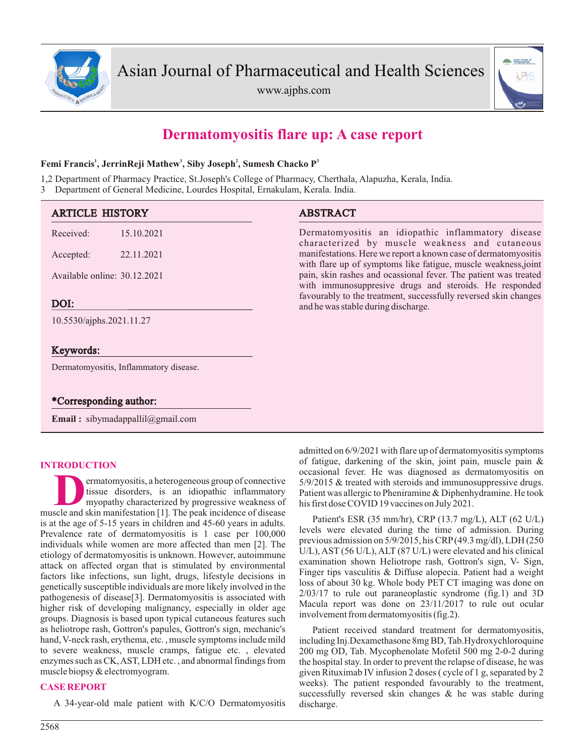

www.ajphs.com



# **Dermatomyositis flare up: A case report**

## **1 1 2 3 Femi Francis , JerrinReji Mathew , Siby Joseph , Sumesh Chacko P**

1,2 Department of Pharmacy Practice, St.Joseph's College of Pharmacy, Cherthala, Alapuzha, Kerala, India.

3 Department of General Medicine, Lourdes Hospital, Ernakulam, Kerala. India.

| <b>ARTICLE HISTORY</b>                           | <b>ABSTRACT</b>                                                                                                                  |
|--------------------------------------------------|----------------------------------------------------------------------------------------------------------------------------------|
| Received:<br>15.10.2021                          | Dermatomyositis an idiopathic inflammatory disease<br>characterized by muscle weakness and cutaneous                             |
| 22.11.2021<br>Accepted:                          | manifestations. Here we report a known case of dermatomyositis<br>with flare up of symptoms like fatigue, muscle weakness, joint |
| Available online: 30.12.2021                     | pain, skin rashes and ocassional fever. The patient was treated<br>with immunosuppresive drugs and steroids. He responded        |
| DOI:                                             | favourably to the treatment, successfully reversed skin changes<br>and he was stable during discharge.                           |
| 10.5530/ajphs.2021.11.27                         |                                                                                                                                  |
| Keywords:                                        |                                                                                                                                  |
| Dermatomyositis, Inflammatory disease.           |                                                                                                                                  |
|                                                  |                                                                                                                                  |
| *Corresponding author:                           |                                                                                                                                  |
| <b>Email:</b> sibymadappallil $\omega$ gmail.com |                                                                                                                                  |

## **INTRODUCTION**

**D**ermatomyositis, a heterogeneous group of connective<br>
issue disorders, is an idiopathic inflammatory<br>
myopathy characterized by progressive weakness of<br>
muscle and skin manifestation [1]. The peak incidence of disease ermatomyositis, a heterogeneous group of connective tissue disorders, is an idiopathic inflammatory myopathy characterized by progressive weakness of is at the age of 5-15 years in children and 45-60 years in adults. Prevalence rate of dermatomyositis is 1 case per 100,000 individuals while women are more affected than men [2]. The etiology of dermatomyositis is unknown. However, autoimmune attack on affected organ that is stimulated by environmental factors like infections, sun light, drugs, lifestyle decisions in genetically susceptible individuals are more likely involved in the pathogenesis of disease[3]. Dermatomyositis is associated with higher risk of developing malignancy, especially in older age groups. Diagnosis is based upon typical cutaneous features such as heliotrope rash, Gottron's papules, Gottron's sign, mechanic's hand, V-neck rash, erythema, etc., muscle symptoms include mild to severe weakness, muscle cramps, fatigue etc. , elevated enzymes such as CK, AST, LDH etc. , and abnormal findings from muscle biopsy & electromyogram.

### **CASE REPORT**

A 34-year-old male patient with K/C/O Dermatomyositis

admitted on 6/9/2021 with flare up of dermatomyositis symptoms of fatigue, darkening of the skin, joint pain, muscle pain & occasional fever. He was diagnosed as dermatomyositis on 5/9/2015 & treated with steroids and immunosuppressive drugs. Patient was allergic to Pheniramine & Diphenhydramine. He took his first dose COVID 19 vaccines on July 2021.

Patient's ESR (35 mm/hr), CRP (13.7 mg/L), ALT (62 U/L) levels were elevated during the time of admission. During previous admission on 5/9/2015, his CRP(49.3 mg/dl), LDH (250 U/L), AST (56 U/L), ALT (87 U/L) were elevated and his clinical examination shown Heliotrope rash, Gottron's sign, V- Sign, Finger tips vasculitis & Diffuse alopecia. Patient had a weight loss of about 30 kg. Whole body PET CT imaging was done on 2/03/17 to rule out paraneoplastic syndrome (fig.1) and 3D Macula report was done on 23/11/2017 to rule out ocular involvement from dermatomyositis (fig.2).

Patient received standard treatment for dermatomyositis, including Inj.Dexamethasone 8mg BD, Tab.Hydroxychloroquine 200 mg OD, Tab. Mycophenolate Mofetil 500 mg 2-0-2 during the hospital stay. In order to prevent the relapse of disease, he was given Rituximab IV infusion 2 doses ( cycle of 1 g, separated by 2 weeks). The patient responded favourably to the treatment, successfully reversed skin changes & he was stable during discharge.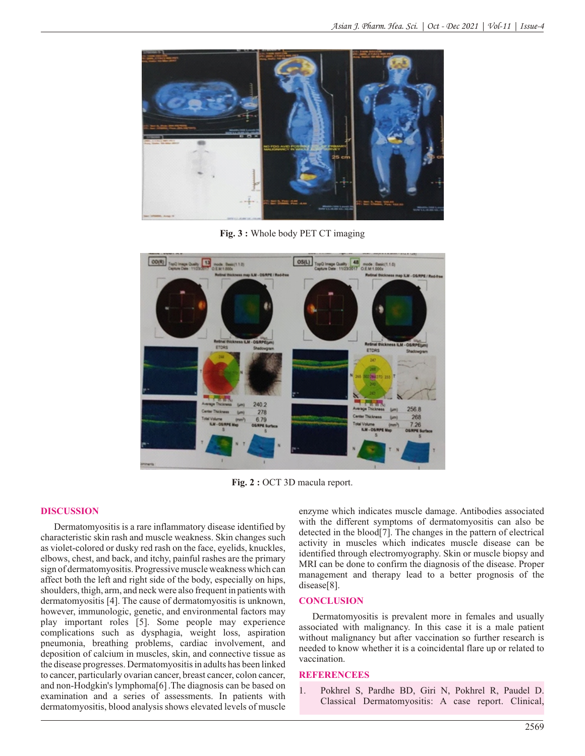

**Fig. 3 :** Whole body PET CT imaging



Fig. 2 : OCT 3D macula report.

#### **DISCUSSION**

Dermatomyositis is a rare inflammatory disease identified by characteristic skin rash and muscle weakness. Skin changes such as violet-colored or dusky red rash on the face, eyelids, knuckles, elbows, chest, and back, and itchy, painful rashes are the primary sign of dermatomyositis. Progressive muscle weakness which can affect both the left and right side of the body, especially on hips, shoulders, thigh, arm, and neck were also frequent in patients with dermatomyositis [4]. The cause of dermatomyositis is unknown, however, immunologic, genetic, and environmental factors may play important roles [5]. Some people may experience complications such as dysphagia, weight loss, aspiration pneumonia, breathing problems, cardiac involvement, and deposition of calcium in muscles, skin, and connective tissue as the disease progresses. Dermatomyositis in adults has been linked to cancer, particularly ovarian cancer, breast cancer, colon cancer, and non-Hodgkin's lymphoma[6].The diagnosis can be based on examination and a series of assessments. In patients with dermatomyositis, blood analysis shows elevated levels of muscle enzyme which indicates muscle damage. Antibodies associated with the different symptoms of dermatomyositis can also be detected in the blood[7]. The changes in the pattern of electrical activity in muscles which indicates muscle disease can be identified through electromyography. Skin or muscle biopsy and MRI can be done to confirm the diagnosis of the disease. Proper management and therapy lead to a better prognosis of the disease[8].

#### **CONCLUSION**

Dermatomyositis is prevalent more in females and usually associated with malignancy. In this case it is a male patient without malignancy but after vaccination so further research is needed to know whether it is a coincidental flare up or related to vaccination.

#### **REFERENCEES**

1. Pokhrel S, Pardhe BD, Giri N, Pokhrel R, Paudel D. Classical Dermatomyositis: A case report. Clinical,